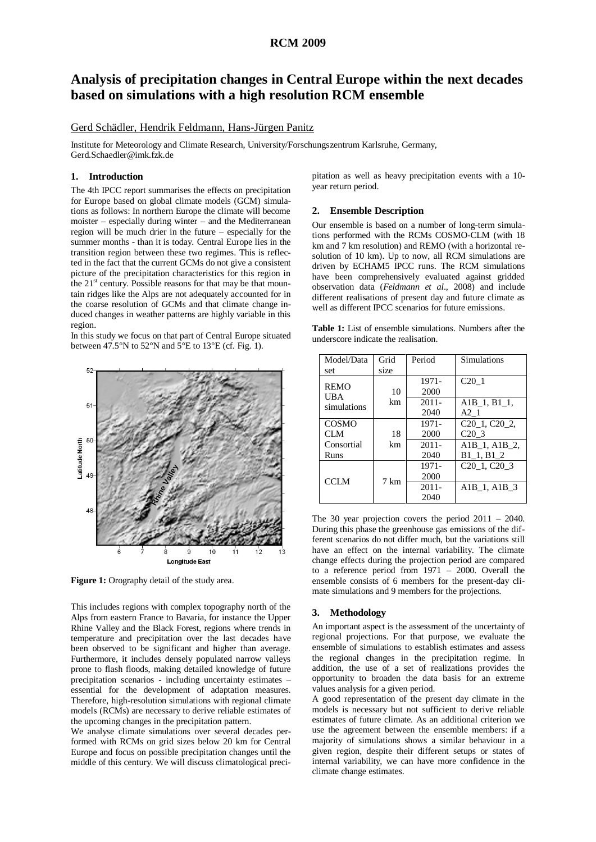# **RCM 2009**

# **Analysis of precipitation changes in Central Europe within the next decades based on simulations with a high resolution RCM ensemble**

## Gerd Schädler, Hendrik Feldmann, Hans-Jürgen Panitz

Institute for Meteorology and Climate Research, University/Forschungszentrum Karlsruhe, Germany, Gerd.Schaedler@imk.fzk.de

## **1. Introduction**

The 4th IPCC report summarises the effects on precipitation for Europe based on global climate models (GCM) simulations as follows: In northern Europe the climate will become moister – especially during winter – and the Mediterranean region will be much drier in the future – especially for the summer months - than it is today. Central Europe lies in the transition region between these two regimes. This is reflected in the fact that the current GCMs do not give a consistent picture of the precipitation characteristics for this region in the  $21<sup>st</sup>$  century. Possible reasons for that may be that mountain ridges like the Alps are not adequately accounted for in the coarse resolution of GCMs and that climate change induced changes in weather patterns are highly variable in this region.

In this study we focus on that part of Central Europe situated between 47.5°N to 52°N and  $5$ °E to 13°E (cf. Fig. 1).



**Figure 1:** Orography detail of the study area.

This includes regions with complex topography north of the Alps from eastern France to Bavaria, for instance the Upper Rhine Valley and the Black Forest, regions where trends in temperature and precipitation over the last decades have been observed to be significant and higher than average. Furthermore, it includes densely populated narrow valleys prone to flash floods, making detailed knowledge of future precipitation scenarios - including uncertainty estimates – essential for the development of adaptation measures. Therefore, high-resolution simulations with regional climate models (RCMs) are necessary to derive reliable estimates of the upcoming changes in the precipitation pattern.

We analyse climate simulations over several decades performed with RCMs on grid sizes below 20 km for Central Europe and focus on possible precipitation changes until the middle of this century. We will discuss climatological precipitation as well as heavy precipitation events with a 10 year return period.

### **2. Ensemble Description**

Our ensemble is based on a number of long-term simulations performed with the RCMs COSMO-CLM (with 18 km and 7 km resolution) and REMO (with a horizontal resolution of 10 km). Up to now, all RCM simulations are driven by ECHAM5 IPCC runs. The RCM simulations have been comprehensively evaluated against gridded observation data (*Feldmann et al*., 2008) and include different realisations of present day and future climate as well as different IPCC scenarios for future emissions.

**Table 1:** List of ensemble simulations. Numbers after the underscore indicate the realisation.

| Model/Data                        | Grid | Period   | <b>Simulations</b>                   |
|-----------------------------------|------|----------|--------------------------------------|
| set                               | size |          |                                      |
| <b>REMO</b><br>UBA<br>simulations |      | 1971-    | C20 <sub>1</sub>                     |
|                                   | 10   | 2000     |                                      |
|                                   | km   | $2011 -$ | A1B 1, B1 1,                         |
|                                   |      | 2040     | A2 <sub>1</sub>                      |
| <b>COSMO</b>                      |      | 1971-    | $C20_1$ , $C20_2$ ,                  |
| CLM                               | 18   | 2000     | C20 <sub>3</sub>                     |
| Consortial                        | km   | $2011 -$ | $A1B_1, A1B_2,$                      |
| Runs                              |      | 2040     | $B1_1, B1_2$                         |
| <b>CCLM</b>                       |      | 1971-    | C <sub>20</sub> 1, C <sub>20</sub> 3 |
|                                   | 7 km | 2000     |                                      |
|                                   |      | $2011 -$ | A1B 1, A1B 3                         |
|                                   |      | 2040     |                                      |

The 30 year projection covers the period 2011 – 2040. During this phase the greenhouse gas emissions of the different scenarios do not differ much, but the variations still have an effect on the internal variability. The climate change effects during the projection period are compared to a reference period from 1971 – 2000. Overall the ensemble consists of 6 members for the present-day climate simulations and 9 members for the projections.

### **3. Methodology**

An important aspect is the assessment of the uncertainty of regional projections. For that purpose, we evaluate the ensemble of simulations to establish estimates and assess the regional changes in the precipitation regime. In addition, the use of a set of realizations provides the opportunity to broaden the data basis for an extreme values analysis for a given period.

A good representation of the present day climate in the models is necessary but not sufficient to derive reliable estimates of future climate. As an additional criterion we use the agreement between the ensemble members: if a majority of simulations shows a similar behaviour in a given region, despite their different setups or states of internal variability, we can have more confidence in the climate change estimates.